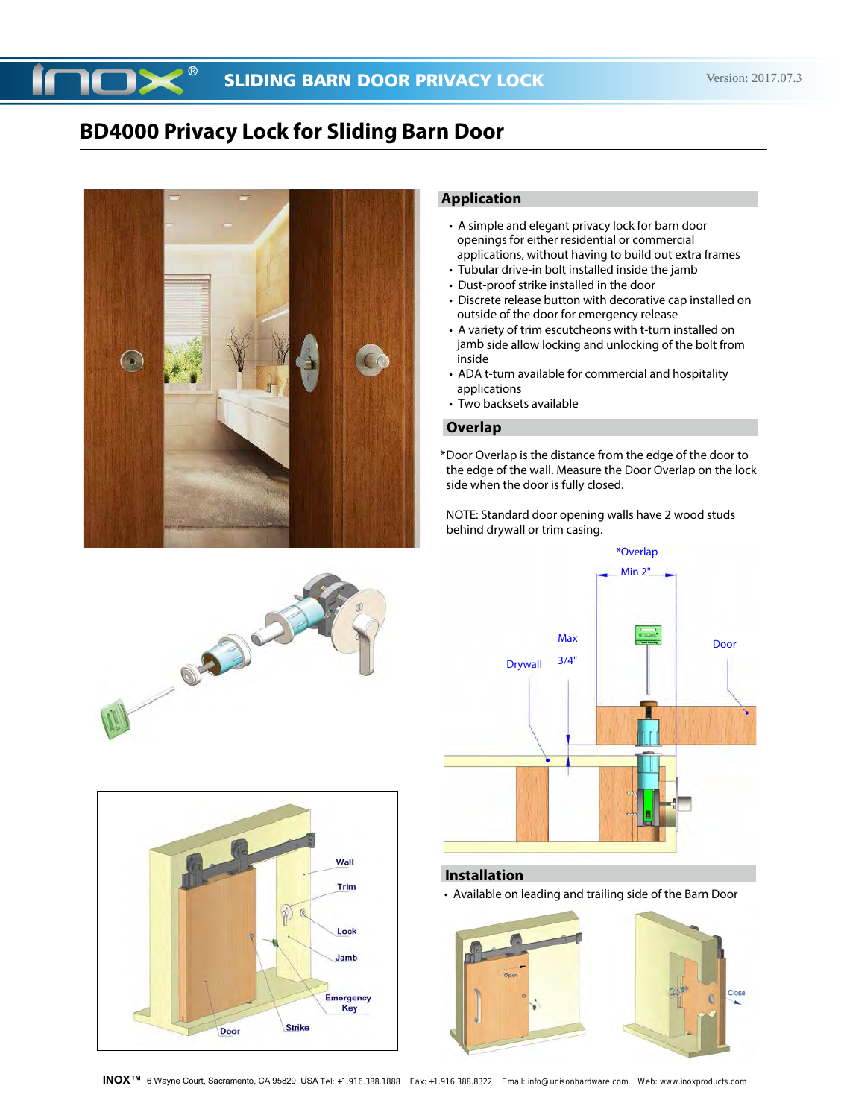

## **Application**

- A simple and elegant privacy lock for barn door openings for either residential or commercial applications, without having to build out extra frames
- Tubular drive-in bolt installed inside the jamb
- Dust-proof strike installed in the door
- Discrete release button with decorative cap installed on outside of the door for emergency release
- A variety of trim escutcheons with t-turn installed on jamb side allow locking and unlocking of the bolt from inside
- ADA t-turn available for commercial and hospitality applications
- Two backsets available

#### **Overlap**

Door Overlap is the distance from the edge of the door to \* the edge of the wall. Measure the Door Overlap on the lock side when the door is fully closed.

NOTE: Standard door opening walls have 2 wood studs behind drywall or trim casing.



#### **Installation**

• Available on leading and trailing side of the Barn Door







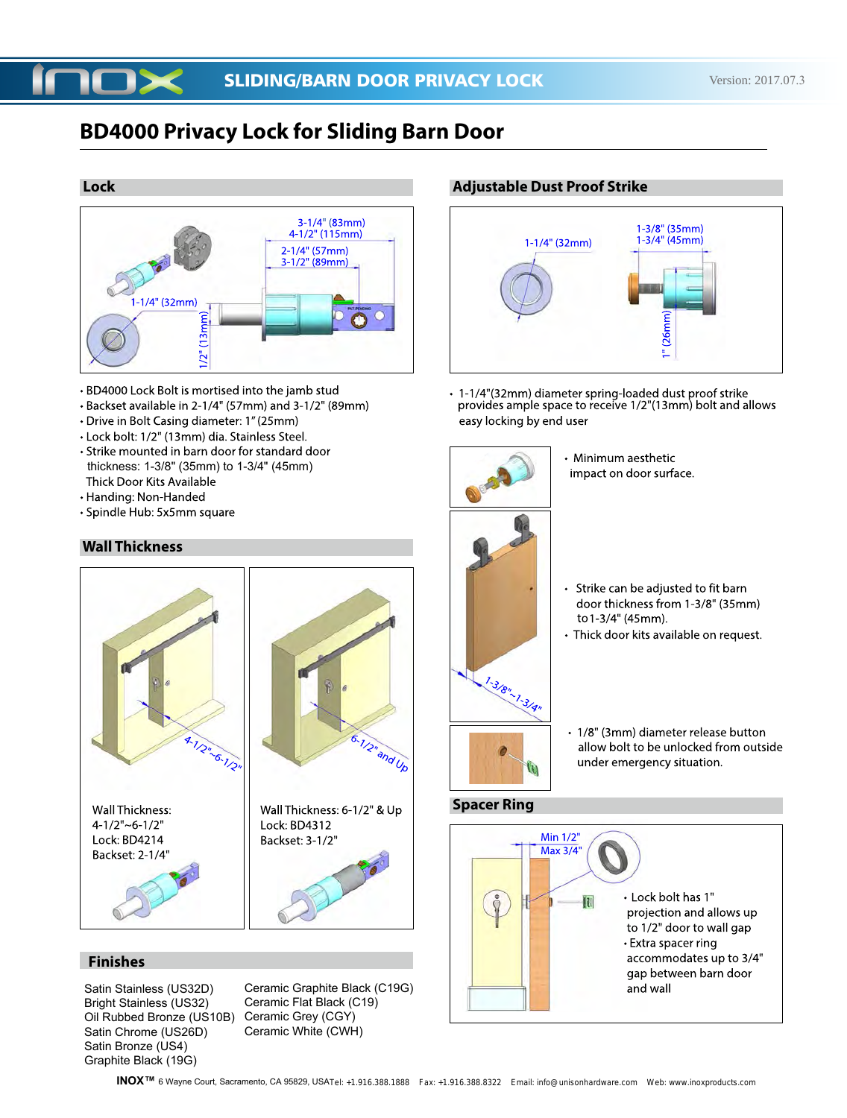#### **Lock**



- BD4000 Lock Bolt is mortised into the jamb stud
- Backset available in 2-1/4" (57mm) and 3-1/2" (89mm)
- Drive in Bolt Casing diameter: 1" (25mm)
- Lock bolt: 1/2" (13mm) dia. Stainless Steel.
- Strike mounted in barn door for standard door thickness: 1-3/8" (35mm) to 1-3/4" (45mm)<br>Thick Door Kits Available
- Handing: Non-Handed
- · Spindle Hub: 5x5mm square

## **Wall Thickness**



## **Finishes**

Satin Stainless (US32D) Bright Stainless (US32) Oil Rubbed Bronze (US10B) Satin Chrome (US26D) Satin Bronze (US4) Graphite Black (19G)

Ceramic Graphite Black (C19G) Ceramic Flat Black (C19) Ceramic Grey (CGY) Ceramic White (CWH)

### **Adjustable Dust Proof Strike**



· 1-1/4"(32mm) diameter spring-loaded dust proof strike provides ample space to receive 1/2"(13mm) bolt and allows easy locking by end user

> • Minimum aesthetic impact on door surface.



- 
- Strike can be adjusted to fit barn door thickness from 1-3/8" (35mm) to 1-3/4" (45mm).
- · Thick door kits available on request.
- - 1/8" (3mm) diameter release button allow bolt to be unlocked from outside under emergency situation.

## **Spacer Ring**

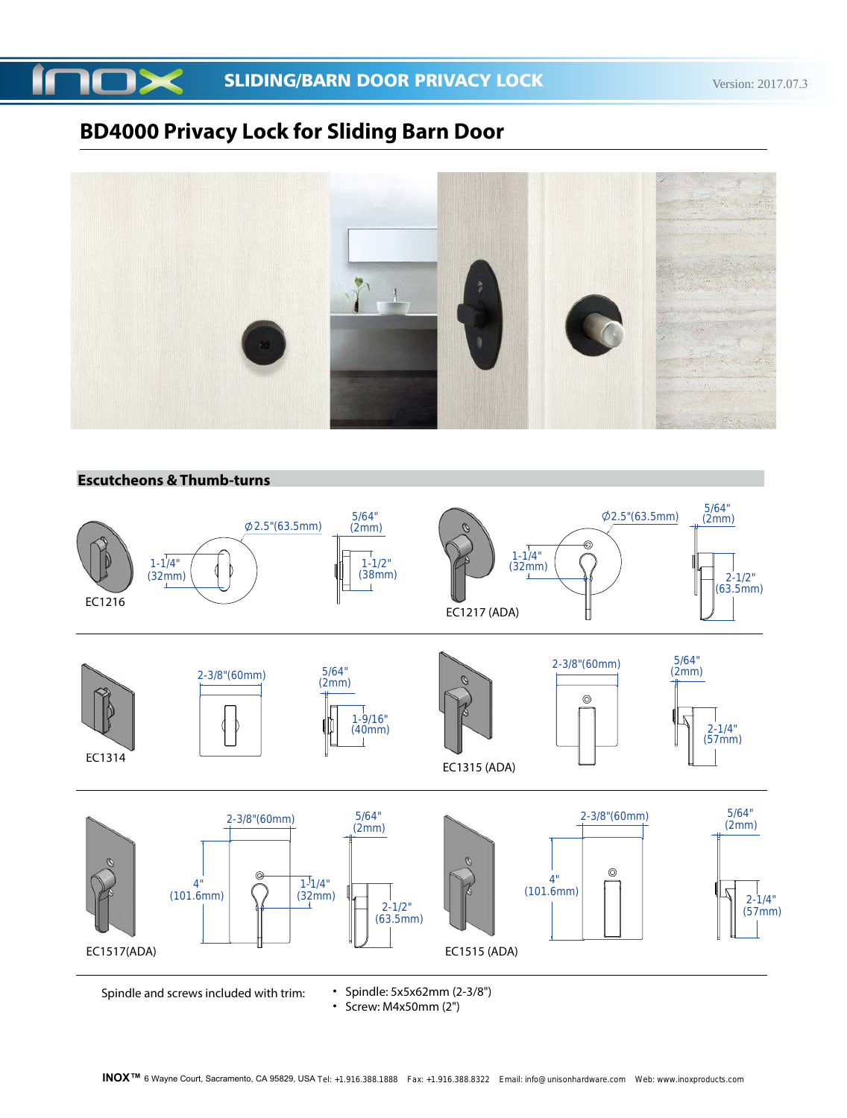



## **Escutcheons & Thumb-turns**